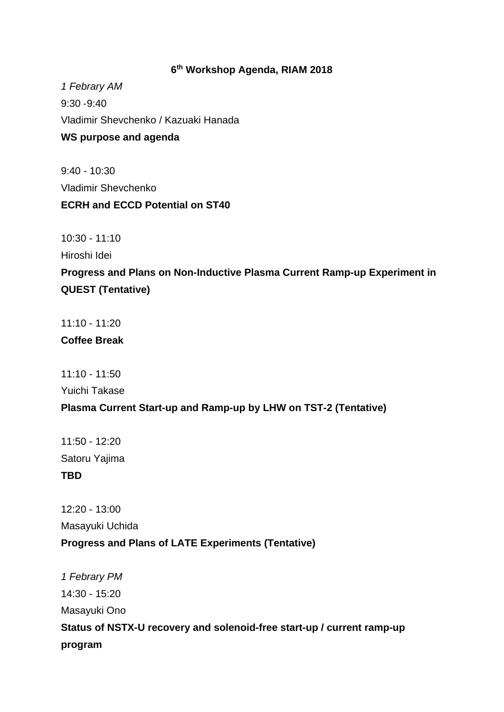## **6th Workshop Agenda, RIAM 2018**

*1 Febrary AM*  9:30 ‐9:40 Vladimir Shevchenko / Kazuaki Hanada **WS purpose and agenda** 

9:40 - 10:30 Vladimir Shevchenko **ECRH and ECCD Potential on ST40** 

10:30 - 11:10

Hiroshi Idei

**Progress and Plans on Non-Inductive Plasma Current Ramp-up Experiment in QUEST (Tentative)** 

11:10 - 11:20

**Coffee Break** 

11:10 - 11:50

Yuichi Takase

## **Plasma Current Start-up and Ramp-up by LHW on TST-2 (Tentative)**

11:50 - 12:20 Satoru Yajima **TBD** 

12:20 - 13:00 Masayuki Uchida **Progress and Plans of LATE Experiments (Tentative)** 

*1 Febrary PM*  14:30 - 15:20 Masayuki Ono **Status of NSTX-U recovery and solenoid-free start-up / current ramp-up program**